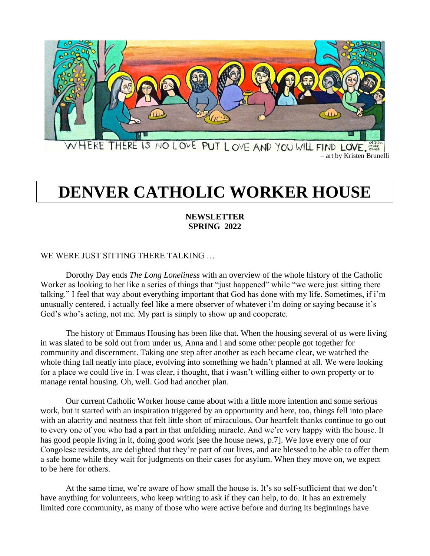

WHERE THERE IS NO LOVE PUT LOVE AND YOU WILL FIND LOVE.

# **DENVER CATHOLIC WORKER HOUSE**

## **NEWSLETTER SPRING 2022**

## WE WERE JUST SITTING THERE TALKING …

Dorothy Day ends *The Long Loneliness* with an overview of the whole history of the Catholic Worker as looking to her like a series of things that "just happened" while "we were just sitting there talking." I feel that way about everything important that God has done with my life. Sometimes, if i'm unusually centered, i actually feel like a mere observer of whatever i'm doing or saying because it's God's who's acting, not me. My part is simply to show up and cooperate.

The history of Emmaus Housing has been like that. When the housing several of us were living in was slated to be sold out from under us, Anna and i and some other people got together for community and discernment. Taking one step after another as each became clear, we watched the whole thing fall neatly into place, evolving into something we hadn't planned at all. We were looking for a place we could live in. I was clear, i thought, that i wasn't willing either to own property or to manage rental housing. Oh, well. God had another plan.

Our current Catholic Worker house came about with a little more intention and some serious work, but it started with an inspiration triggered by an opportunity and here, too, things fell into place with an alacrity and neatness that felt little short of miraculous. Our heartfelt thanks continue to go out to every one of you who had a part in that unfolding miracle. And we're very happy with the house. It has good people living in it, doing good work [see the house news, p.7]. We love every one of our Congolese residents, are delighted that they're part of our lives, and are blessed to be able to offer them a safe home while they wait for judgments on their cases for asylum. When they move on, we expect to be here for others.

At the same time, we're aware of how small the house is. It's so self-sufficient that we don't have anything for volunteers, who keep writing to ask if they can help, to do. It has an extremely limited core community, as many of those who were active before and during its beginnings have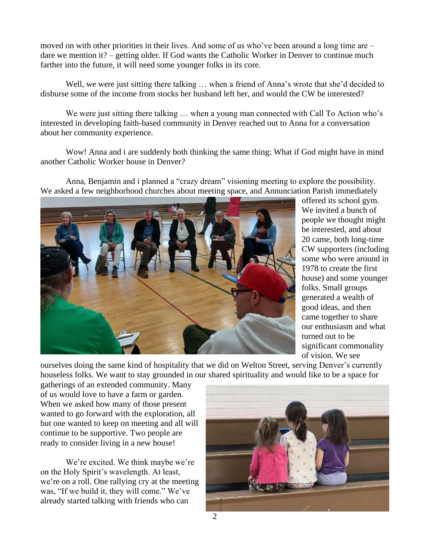moved on with other priorities in their lives. And some of us who've been around a long time are – dare we mention it? – getting older. If God wants the Catholic Worker in Denver to continue much farther into the future, it will need some younger folks in its core.

Well, we were just sitting there talking ... when a friend of Anna's wrote that she'd decided to disburse some of the income from stocks her husband left her, and would the CW be interested?

We were just sitting there talking … when a young man connected with Call To Action who's interested in developing faith-based community in Denver reached out to Anna for a conversation about her community experience.

Wow! Anna and i are suddenly both thinking the same thing: What if God might have in mind another Catholic Worker house in Denver?

Anna, Benjamin and i planned a "crazy dream" visioning meeting to explore the possibility. We asked a few neighborhood churches about meeting space, and Annunciation Parish immediately



offered its school gym. We invited a bunch of people we thought might be interested, and about 20 came, both long-time CW supporters (including some who were around in 1978 to create the first house) and some younger folks. Small groups generated a wealth of good ideas, and then came together to share our enthusiasm and what turned out to be significant commonality of vision. We see

ourselves doing the same kind of hospitality that we did on Welton Street, serving Denver's currently houseless folks. We want to stay grounded in our shared spirituality and would like to be a space for

gatherings of an extended community. Many of us would love to have a farm or garden. When we asked how many of those present wanted to go forward with the exploration, all but one wanted to keep on meeting and all will continue to be supportive. Two people are ready to consider living in a new house!

We're excited. We think maybe we're on the Holy Spirit's wavelength. At least, we're on a roll. One rallying cry at the meeting was, "If we build it, they will come." We've already started talking with friends who can

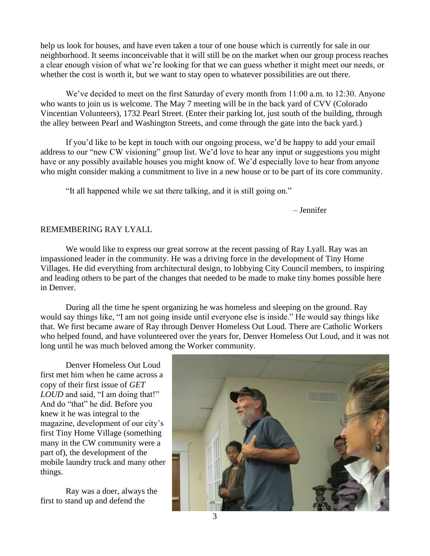help us look for houses, and have even taken a tour of one house which is currently for sale in our neighborhood. It seems inconceivable that it will still be on the market when our group process reaches a clear enough vision of what we're looking for that we can guess whether it might meet our needs, or whether the cost is worth it, but we want to stay open to whatever possibilities are out there.

We've decided to meet on the first Saturday of every month from 11:00 a.m. to 12:30. Anyone who wants to join us is welcome. The May 7 meeting will be in the back yard of CVV (Colorado Vincentian Volunteers), 1732 Pearl Street. (Enter their parking lot, just south of the building, through the alley between Pearl and Washington Streets, and come through the gate into the back yard.)

If you'd like to be kept in touch with our ongoing process, we'd be happy to add your email address to our "new CW visioning" group list. We'd love to hear any input or suggestions you might have or any possibly available houses you might know of. We'd especially love to hear from anyone who might consider making a commitment to live in a new house or to be part of its core community.

"It all happened while we sat there talking, and it is still going on."

– Jennifer

## REMEMBERING RAY LYALL

We would like to express our great sorrow at the recent passing of Ray Lyall. Ray was an impassioned leader in the community. He was a driving force in the development of Tiny Home Villages. He did everything from architectural design, to lobbying City Council members, to inspiring and leading others to be part of the changes that needed to be made to make tiny homes possible here in Denver.

During all the time he spent organizing he was homeless and sleeping on the ground. Ray would say things like, "I am not going inside until everyone else is inside." He would say things like that. We first became aware of Ray through Denver Homeless Out Loud. There are Catholic Workers who helped found, and have volunteered over the years for, Denver Homeless Out Loud, and it was not long until he was much beloved among the Worker community.

Denver Homeless Out Loud first met him when he came across a copy of their first issue of *GET LOUD* and said, "I am doing that!" And do "that" he did. Before you knew it he was integral to the magazine, development of our city's first Tiny Home Village (something many in the CW community were a part of), the development of the mobile laundry truck and many other things.

Ray was a doer, always the first to stand up and defend the

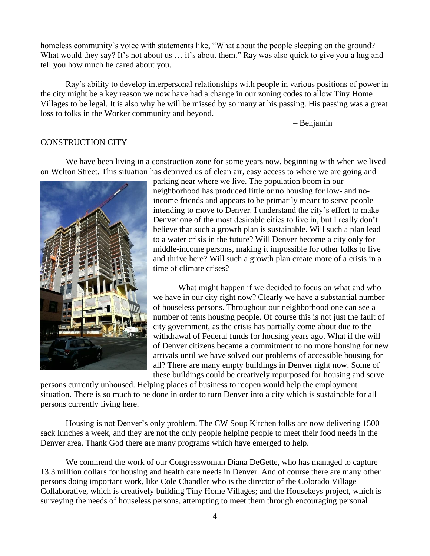homeless community's voice with statements like, "What about the people sleeping on the ground? What would they say? It's not about us ... it's about them." Ray was also quick to give you a hug and tell you how much he cared about you.

Ray's ability to develop interpersonal relationships with people in various positions of power in the city might be a key reason we now have had a change in our zoning codes to allow Tiny Home Villages to be legal. It is also why he will be missed by so many at his passing. His passing was a great loss to folks in the Worker community and beyond.

– Benjamin

### CONSTRUCTION CITY

We have been living in a construction zone for some years now, beginning with when we lived on Welton Street. This situation has deprived us of clean air, easy access to where we are going and



parking near where we live. The population boom in our neighborhood has produced little or no housing for low- and noincome friends and appears to be primarily meant to serve people intending to move to Denver. I understand the city's effort to make Denver one of the most desirable cities to live in, but I really don't believe that such a growth plan is sustainable. Will such a plan lead to a water crisis in the future? Will Denver become a city only for middle-income persons, making it impossible for other folks to live and thrive here? Will such a growth plan create more of a crisis in a time of climate crises?

What might happen if we decided to focus on what and who we have in our city right now? Clearly we have a substantial number of houseless persons. Throughout our neighborhood one can see a number of tents housing people. Of course this is not just the fault of city government, as the crisis has partially come about due to the withdrawal of Federal funds for housing years ago. What if the will of Denver citizens became a commitment to no more housing for new arrivals until we have solved our problems of accessible housing for all? There are many empty buildings in Denver right now. Some of these buildings could be creatively repurposed for housing and serve

persons currently unhoused. Helping places of business to reopen would help the employment situation. There is so much to be done in order to turn Denver into a city which is sustainable for all persons currently living here.

Housing is not Denver's only problem. The CW Soup Kitchen folks are now delivering 1500 sack lunches a week, and they are not the only people helping people to meet their food needs in the Denver area. Thank God there are many programs which have emerged to help.

We commend the work of our Congresswoman Diana DeGette, who has managed to capture 13.3 million dollars for housing and health care needs in Denver. And of course there are many other persons doing important work, like Cole Chandler who is the director of the Colorado Village Collaborative, which is creatively building Tiny Home Villages; and the Housekeys project, which is surveying the needs of houseless persons, attempting to meet them through encouraging personal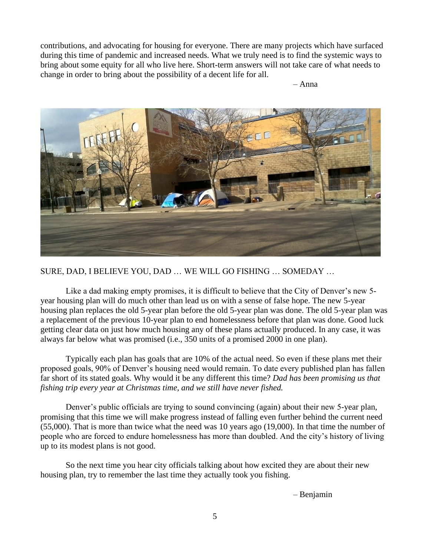contributions, and advocating for housing for everyone. There are many projects which have surfaced during this time of pandemic and increased needs. What we truly need is to find the systemic ways to bring about some equity for all who live here. Short-term answers will not take care of what needs to change in order to bring about the possibility of a decent life for all.



SURE, DAD, I BELIEVE YOU, DAD … WE WILL GO FISHING … SOMEDAY …

Like a dad making empty promises, it is difficult to believe that the City of Denver's new 5 year housing plan will do much other than lead us on with a sense of false hope. The new 5-year housing plan replaces the old 5-year plan before the old 5-year plan was done. The old 5-year plan was a replacement of the previous 10-year plan to end homelessness before that plan was done. Good luck getting clear data on just how much housing any of these plans actually produced. In any case, it was always far below what was promised (i.e., 350 units of a promised 2000 in one plan).

Typically each plan has goals that are 10% of the actual need. So even if these plans met their proposed goals, 90% of Denver's housing need would remain. To date every published plan has fallen far short of its stated goals. Why would it be any different this time? *Dad has been promising us that fishing trip every year at Christmas time, and we still have never fished.*

Denver's public officials are trying to sound convincing (again) about their new 5-year plan, promising that this time we will make progress instead of falling even further behind the current need (55,000). That is more than twice what the need was 10 years ago (19,000). In that time the number of people who are forced to endure homelessness has more than doubled. And the city's history of living up to its modest plans is not good.

So the next time you hear city officials talking about how excited they are about their new housing plan, try to remember the last time they actually took you fishing.

– Benjamin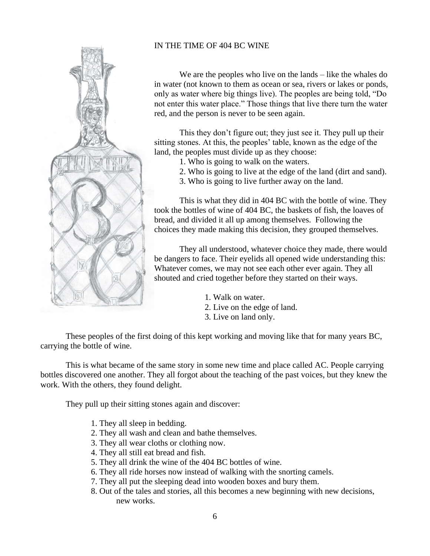

## IN THE TIME OF 404 BC WINE

We are the peoples who live on the lands – like the whales do in water (not known to them as ocean or sea, rivers or lakes or ponds, only as water where big things live). The peoples are being told, "Do not enter this water place." Those things that live there turn the water red, and the person is never to be seen again.

This they don't figure out; they just see it. They pull up their sitting stones. At this, the peoples' table, known as the edge of the land, the peoples must divide up as they choose:

- 1. Who is going to walk on the waters.
- 2. Who is going to live at the edge of the land (dirt and sand).
- 3. Who is going to live further away on the land.

This is what they did in 404 BC with the bottle of wine. They took the bottles of wine of 404 BC, the baskets of fish, the loaves of bread, and divided it all up among themselves. Following the choices they made making this decision, they grouped themselves.

They all understood, whatever choice they made, there would be dangers to face. Their eyelids all opened wide understanding this: Whatever comes, we may not see each other ever again. They all shouted and cried together before they started on their ways.

- 1. Walk on water.
- 2. Live on the edge of land.
- 3. Live on land only.

These peoples of the first doing of this kept working and moving like that for many years BC, carrying the bottle of wine.

This is what became of the same story in some new time and place called AC. People carrying bottles discovered one another. They all forgot about the teaching of the past voices, but they knew the work. With the others, they found delight.

They pull up their sitting stones again and discover:

- 1. They all sleep in bedding.
- 2. They all wash and clean and bathe themselves.
- 3. They all wear cloths or clothing now.
- 4. They all still eat bread and fish.
- 5. They all drink the wine of the 404 BC bottles of wine.
- 6. They all ride horses now instead of walking with the snorting camels.
- 7. They all put the sleeping dead into wooden boxes and bury them.
- 8. Out of the tales and stories, all this becomes a new beginning with new decisions, new works.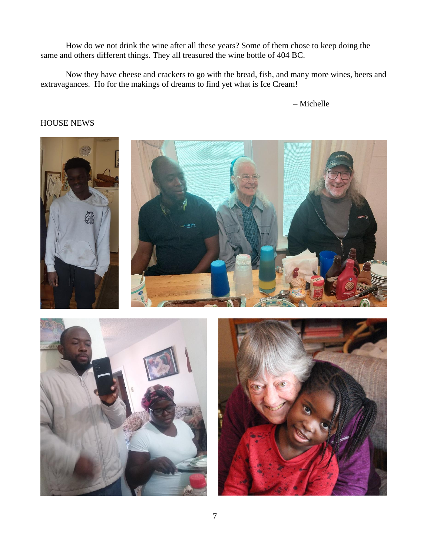How do we not drink the wine after all these years? Some of them chose to keep doing the same and others different things. They all treasured the wine bottle of 404 BC.

Now they have cheese and crackers to go with the bread, fish, and many more wines, beers and extravagances. Ho for the makings of dreams to find yet what is Ice Cream!

– Michelle

## HOUSE NEWS